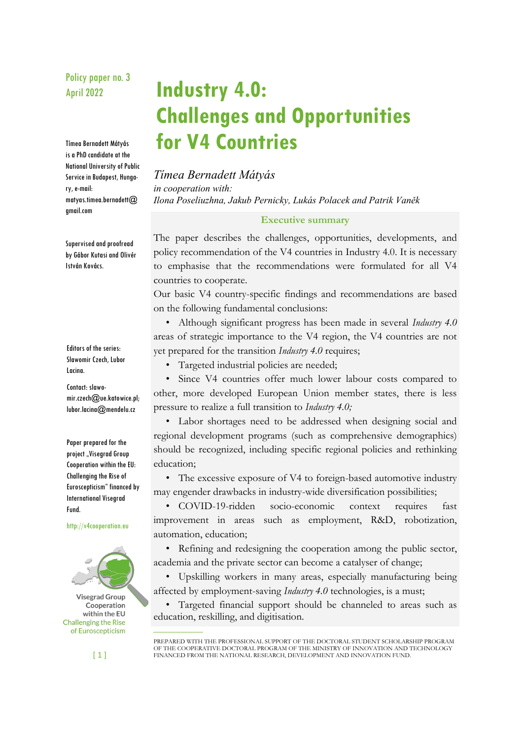# Policy paper no. 3 April 2022

Tímea Bernadett Mátyás is a PhD candidate at the National University of Public Service in Budapest, Hungary, e-mail: matyas.timea.bernadett@ gmail.com

Supervised and proofread by Gábor Kutasi and Olivér István Kovács.

Editors of the series: Sławomir Czech, Lubor Lacina.

Contact: slawomir.czech@ue.katowice.pl; lubor.lacina@mendelu.cz

Paper prepared for the project "Visegrad Group Cooperation within the EU: Challenging the Rise of Euroscepticism" financed by International Visegrad Fund.

http://v4cooperation.eu



**Industry 4.0: Challenges and Opportunities for V4 Countries** 

*Tímea Bernadett Mátyás in cooperation with: Ilona Poseliuzhna, Jakub Pernicky, Lukás Polacek and Patrik Vaněk* 

## **Executive summary**

The paper describes the challenges, opportunities, developments, and policy recommendation of the V4 countries in Industry 4.0. It is necessary to emphasise that the recommendations were formulated for all V4 countries to cooperate.

Our basic V4 country-specific findings and recommendations are based on the following fundamental conclusions:

• Although significant progress has been made in several *Industry 4.0* areas of strategic importance to the V4 region, the V4 countries are not yet prepared for the transition *Industry 4.0* requires;

• Targeted industrial policies are needed;

• Since V4 countries offer much lower labour costs compared to other, more developed European Union member states, there is less pressure to realize a full transition to *Industry 4.0;*

• Labor shortages need to be addressed when designing social and regional development programs (such as comprehensive demographics) should be recognized, including specific regional policies and rethinking education;

• The excessive exposure of V4 to foreign-based automotive industry may engender drawbacks in industry-wide diversification possibilities;

• COVID-19-ridden socio-economic context requires fast improvement in areas such as employment, R&D, robotization, automation, education;

• Refining and redesigning the cooperation among the public sector, academia and the private sector can become a catalyser of change;

• Upskilling workers in many areas, especially manufacturing being affected by employment-saving *Industry 4.0* technologies, is a must;

• Targeted financial support should be channeled to areas such as education, reskilling, and digitisation.

 $[1]$ 

PREPARED WITH THE PROFESSIONAL SUPPORT OF THE DOCTORAL STUDENT SCHOLARSHIP PROGRAM OF THE COOPERATIVE DOCTORAL PROGRAM OF THE MINISTRY OF INNOVATION AND TECHNOLOGY FINANCED FROM THE NATIONAL RESEARCH, DEVELOPMENT AND INNOVATION FUND.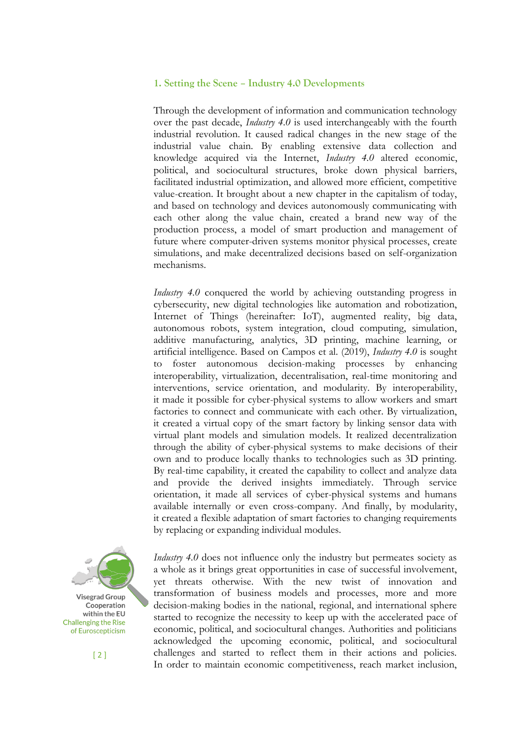### **1. Setting the Scene – Industry 4.0 Developments**

Through the development of information and communication technology over the past decade, *Industry 4.0* is used interchangeably with the fourth industrial revolution. It caused radical changes in the new stage of the industrial value chain. By enabling extensive data collection and knowledge acquired via the Internet, *Industry 4.0* altered economic, political, and sociocultural structures, broke down physical barriers, facilitated industrial optimization, and allowed more efficient, competitive value-creation. It brought about a new chapter in the capitalism of today, and based on technology and devices autonomously communicating with each other along the value chain, created a brand new way of the production process, a model of smart production and management of future where computer-driven systems monitor physical processes, create simulations, and make decentralized decisions based on self-organization mechanisms.

*Industry* 4.0 conquered the world by achieving outstanding progress in cybersecurity, new digital technologies like automation and robotization, Internet of Things (hereinafter: IoT), augmented reality, big data, autonomous robots, system integration, cloud computing, simulation, additive manufacturing, analytics, 3D printing, machine learning, or artificial intelligence. Based on Campos et al. (2019), *Industry 4.0* is sought to foster autonomous decision-making processes by enhancing interoperability, virtualization, decentralisation, real-time monitoring and interventions, service orientation, and modularity. By interoperability, it made it possible for cyber-physical systems to allow workers and smart factories to connect and communicate with each other. By virtualization, it created a virtual copy of the smart factory by linking sensor data with virtual plant models and simulation models. It realized decentralization through the ability of cyber-physical systems to make decisions of their own and to produce locally thanks to technologies such as 3D printing. By real-time capability, it created the capability to collect and analyze data and provide the derived insights immediately. Through service orientation, it made all services of cyber-physical systems and humans available internally or even cross-company. And finally, by modularity, it created a flexible adaptation of smart factories to changing requirements by replacing or expanding individual modules.



 $[2]$ 

*Industry 4.0* does not influence only the industry but permeates society as a whole as it brings great opportunities in case of successful involvement, yet threats otherwise. With the new twist of innovation and transformation of business models and processes, more and more decision-making bodies in the national, regional, and international sphere started to recognize the necessity to keep up with the accelerated pace of economic, political, and sociocultural changes. Authorities and politicians acknowledged the upcoming economic, political, and sociocultural challenges and started to reflect them in their actions and policies. In order to maintain economic competitiveness, reach market inclusion,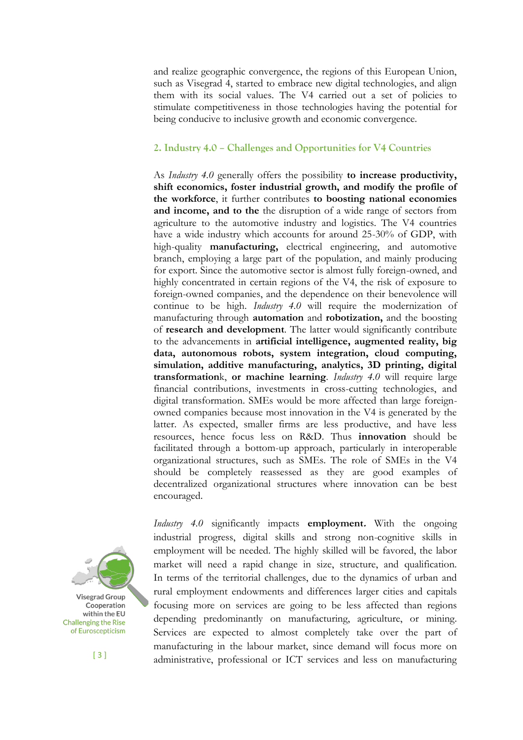and realize geographic convergence, the regions of this European Union, such as Visegrad 4, started to embrace new digital technologies, and align them with its social values. The V4 carried out a set of policies to stimulate competitiveness in those technologies having the potential for being conducive to inclusive growth and economic convergence.

## **2. Industry 4.0 – Challenges and Opportunities for V4 Countries**

As *Industry 4.0* generally offers the possibility **to increase productivity, shift economics, foster industrial growth, and modify the profile of the workforce**, it further contributes **to boosting national economies and income, and to the** the disruption of a wide range of sectors from agriculture to the automotive industry and logistics. The V4 countries have a wide industry which accounts for around 25-30% of GDP, with high-quality **manufacturing,** electrical engineering, and automotive branch, employing a large part of the population, and mainly producing for export. Since the automotive sector is almost fully foreign-owned, and highly concentrated in certain regions of the V4, the risk of exposure to foreign-owned companies, and the dependence on their benevolence will continue to be high. *Industry 4.0* will require the modernization of manufacturing through **automation** and **robotization,** and the boosting of **research and development**. The latter would significantly contribute to the advancements in **artificial intelligence, augmented reality, big data, autonomous robots, system integration, cloud computing, simulation, additive manufacturing, analytics, 3D printing, digital transformation**k, **or machine learning**. *Industry 4.0* will require large financial contributions, investments in cross-cutting technologies, and digital transformation. SMEs would be more affected than large foreignowned companies because most innovation in the V4 is generated by the latter. As expected, smaller firms are less productive, and have less resources, hence focus less on R&D. Thus **innovation** should be facilitated through a bottom-up approach, particularly in interoperable organizational structures, such as SMEs. The role of SMEs in the V4 should be completely reassessed as they are good examples of decentralized organizational structures where innovation can be best encouraged.



[ 3 ]

*Industry 4.0* significantly impacts **employment.** With the ongoing industrial progress, digital skills and strong non-cognitive skills in employment will be needed. The highly skilled will be favored, the labor market will need a rapid change in size, structure, and qualification. In terms of the territorial challenges, due to the dynamics of urban and rural employment endowments and differences larger cities and capitals focusing more on services are going to be less affected than regions depending predominantly on manufacturing, agriculture, or mining. Services are expected to almost completely take over the part of manufacturing in the labour market, since demand will focus more on administrative, professional or ICT services and less on manufacturing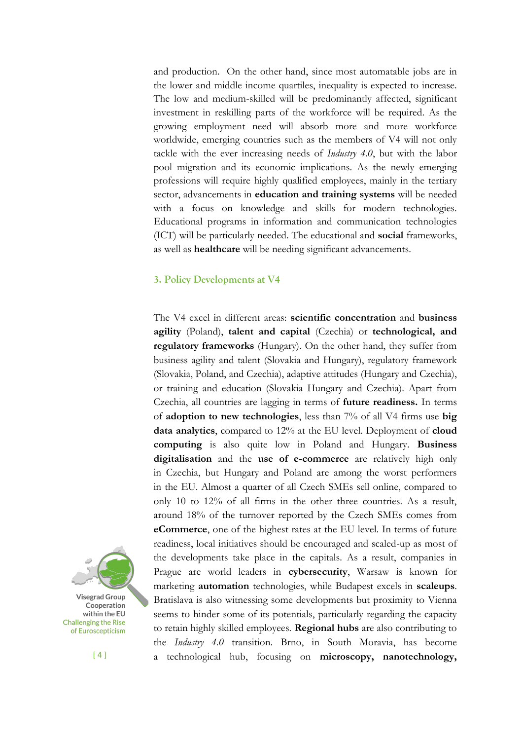and production. On the other hand, since most automatable jobs are in the lower and middle income quartiles, inequality is expected to increase. The low and medium-skilled will be predominantly affected, significant investment in reskilling parts of the workforce will be required. As the growing employment need will absorb more and more workforce worldwide, emerging countries such as the members of V4 will not only tackle with the ever increasing needs of *Industry 4.0*, but with the labor pool migration and its economic implications. As the newly emerging professions will require highly qualified employees, mainly in the tertiary sector, advancements in **education and training systems** will be needed with a focus on knowledge and skills for modern technologies. Educational programs in information and communication technologies (ICT) will be particularly needed. The educational and **social** frameworks, as well as **healthcare** will be needing significant advancements.

### **3. Policy Developments at V4**

The V4 excel in different areas: **scientific concentration** and **business agility** (Poland), **talent and capital** (Czechia) or **technological, and regulatory frameworks** (Hungary). On the other hand, they suffer from business agility and talent (Slovakia and Hungary), regulatory framework (Slovakia, Poland, and Czechia), adaptive attitudes (Hungary and Czechia), or training and education (Slovakia Hungary and Czechia). Apart from Czechia, all countries are lagging in terms of **future readiness.** In terms of **adoption to new technologies**, less than 7% of all V4 firms use **big data analytics**, compared to 12% at the EU level. Deployment of **cloud computing** is also quite low in Poland and Hungary. **Business digitalisation** and the **use of e-commerce** are relatively high only in Czechia, but Hungary and Poland are among the worst performers in the EU. Almost a quarter of all Czech SMEs sell online, compared to only 10 to 12% of all firms in the other three countries. As a result, around 18% of the turnover reported by the Czech SMEs comes from **eCommerce**, one of the highest rates at the EU level. In terms of future readiness, local initiatives should be encouraged and scaled-up as most of the developments take place in the capitals. As a result, companies in Prague are world leaders in **cybersecurity**, Warsaw is known for marketing **automation** technologies, while Budapest excels in **scaleups**. Bratislava is also witnessing some developments but proximity to Vienna seems to hinder some of its potentials, particularly regarding the capacity to retain highly skilled employees. **Regional hubs** are also contributing to the *Industry 4.0* transition. Brno, in South Moravia, has become a technological hub, focusing on **microscopy, nanotechnology,** 

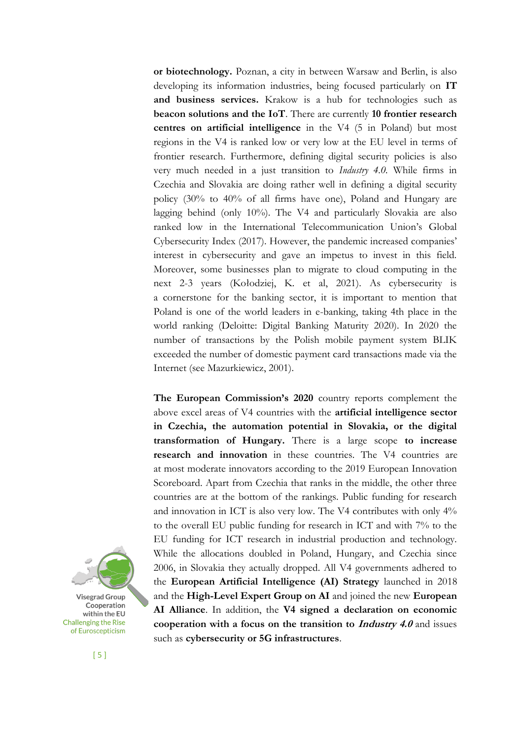**or biotechnology.** Poznan, a city in between Warsaw and Berlin, is also developing its information industries, being focused particularly on **IT and business services.** Krakow is a hub for technologies such as **beacon solutions and the IoT**. There are currently **10 frontier research centres on artificial intelligence** in the V4 (5 in Poland) but most regions in the V4 is ranked low or very low at the EU level in terms of frontier research. Furthermore, defining digital security policies is also very much needed in a just transition to *Industry 4.0.* While firms in Czechia and Slovakia are doing rather well in defining a digital security policy (30% to 40% of all firms have one), Poland and Hungary are lagging behind (only 10%). The V4 and particularly Slovakia are also ranked low in the International Telecommunication Union's Global Cybersecurity Index (2017). However, the pandemic increased companies' interest in cybersecurity and gave an impetus to invest in this field. Moreover, some businesses plan to migrate to cloud computing in the next 2-3 years (Kołodziej, K. et al, 2021). As cybersecurity is a cornerstone for the banking sector, it is important to mention that Poland is one of the world leaders in e-banking, taking 4th place in the world ranking (Deloitte: Digital Banking Maturity 2020). In 2020 the number of transactions by the Polish mobile payment system BLIK exceeded the number of domestic payment card transactions made via the Internet (see Mazurkiewicz, 2001).

**The European Commission's 2020** country reports complement the above excel areas of V4 countries with the **artificial intelligence sector in Czechia, the automation potential in Slovakia, or the digital transformation of Hungary.** There is a large scope **to increase research and innovation** in these countries. The V4 countries are at most moderate innovators according to the 2019 European Innovation Scoreboard. Apart from Czechia that ranks in the middle, the other three countries are at the bottom of the rankings. Public funding for research and innovation in ICT is also very low. The V4 contributes with only 4% to the overall EU public funding for research in ICT and with 7% to the EU funding for ICT research in industrial production and technology. While the allocations doubled in Poland, Hungary, and Czechia since 2006, in Slovakia they actually dropped. All V4 governments adhered to the **European Artificial Intelligence (AI) Strategy** launched in 2018 and the **High-Level Expert Group on AI** and joined the new **European AI Alliance**. In addition, the **V4 signed a declaration on economic cooperation with a focus on the transition to** *Industry 4.0* **and issues** such as **cybersecurity or 5G infrastructures**.

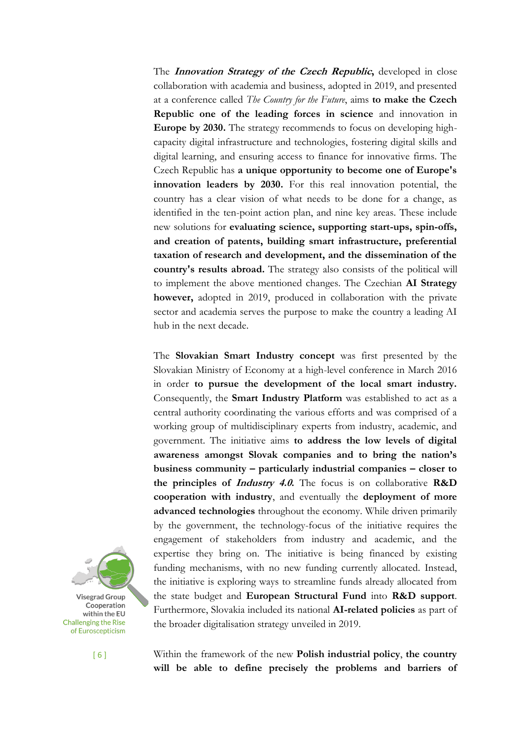The **Innovation Strategy of the Czech Republic,** developed in close collaboration with academia and business, adopted in 2019, and presented at a conference called *The Country for the Future*, aims **to make the Czech Republic one of the leading forces in science** and innovation in **Europe by 2030.** The strategy recommends to focus on developing highcapacity digital infrastructure and technologies, fostering digital skills and digital learning, and ensuring access to finance for innovative firms. The Czech Republic has **a unique opportunity to become one of Europe's innovation leaders by 2030.** For this real innovation potential, the country has a clear vision of what needs to be done for a change, as identified in the ten-point action plan, and nine key areas. These include new solutions for **evaluating science, supporting start-ups, spin-offs, and creation of patents, building smart infrastructure, preferential taxation of research and development, and the dissemination of the country's results abroad.** The strategy also consists of the political will to implement the above mentioned changes. The Czechian **AI Strategy however,** adopted in 2019, produced in collaboration with the private sector and academia serves the purpose to make the country a leading AI hub in the next decade.

The **Slovakian Smart Industry concept** was first presented by the Slovakian Ministry of Economy at a high-level conference in March 2016 in order **to pursue the development of the local smart industry.**  Consequently, the **Smart Industry Platform** was established to act as a central authority coordinating the various efforts and was comprised of a working group of multidisciplinary experts from industry, academic, and government. The initiative aims **to address the low levels of digital awareness amongst Slovak companies and to bring the nation's business community – particularly industrial companies – closer to the principles of Industry 4.0.** The focus is on collaborative **R&D cooperation with industry**, and eventually the **deployment of more advanced technologies** throughout the economy. While driven primarily by the government, the technology-focus of the initiative requires the engagement of stakeholders from industry and academic, and the expertise they bring on. The initiative is being financed by existing funding mechanisms, with no new funding currently allocated. Instead, the initiative is exploring ways to streamline funds already allocated from the state budget and **European Structural Fund** into **R&D support**. Furthermore, Slovakia included its national **AI-related policies** as part of the broader digitalisation strategy unveiled in 2019.



[ 6 ]

Within the framework of the new **Polish industrial policy**, **the country will be able to define precisely the problems and barriers of**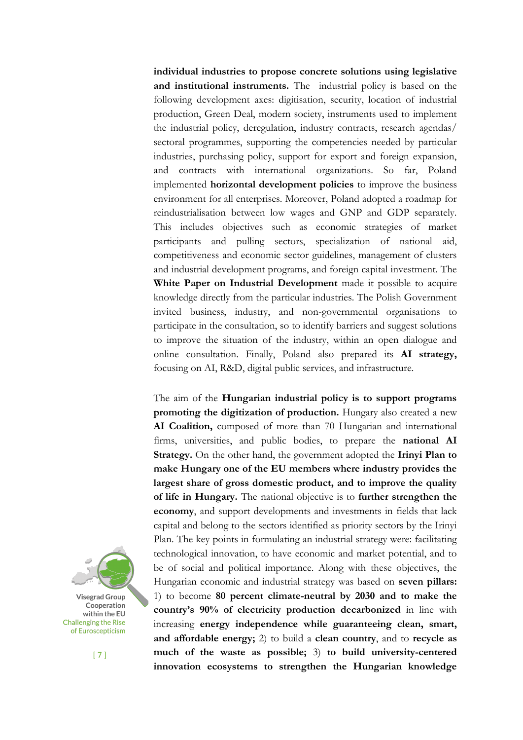**individual industries to propose concrete solutions using legislative and institutional instruments.** The industrial policy is based on the following development axes: digitisation, security, location of industrial production, Green Deal, modern society, instruments used to implement the industrial policy, deregulation, industry contracts, research agendas/ sectoral programmes, supporting the competencies needed by particular industries, purchasing policy, support for export and foreign expansion, and contracts with international organizations. So far, Poland implemented **horizontal development policies** to improve the business environment for all enterprises. Moreover, Poland adopted a roadmap for reindustrialisation between low wages and GNP and GDP separately. This includes objectives such as economic strategies of market participants and pulling sectors, specialization of national aid, competitiveness and economic sector guidelines, management of clusters and industrial development programs, and foreign capital investment. The **White Paper on Industrial Development** made it possible to acquire knowledge directly from the particular industries. The Polish Government invited business, industry, and non-governmental organisations to participate in the consultation, so to identify barriers and suggest solutions to improve the situation of the industry, within an open dialogue and online consultation. Finally, Poland also prepared its **AI strategy,** focusing on AI, R&D, digital public services, and infrastructure.

The aim of the **Hungarian industrial policy is to support programs promoting the digitization of production.** Hungary also created a new **AI Coalition,** composed of more than 70 Hungarian and international firms, universities, and public bodies, to prepare the **national AI Strategy.** On the other hand, the government adopted the **Irinyi Plan to make Hungary one of the EU members where industry provides the largest share of gross domestic product, and to improve the quality of life in Hungary.** The national objective is to **further strengthen the economy**, and support developments and investments in fields that lack capital and belong to the sectors identified as priority sectors by the Irinyi Plan. The key points in formulating an industrial strategy were: facilitating technological innovation, to have economic and market potential, and to be of social and political importance. Along with these objectives, the Hungarian economic and industrial strategy was based on **seven pillars:** 1) to become **80 percent climate-neutral by 2030 and to make the country's 90% of electricity production decarbonized** in line with increasing **energy independence while guaranteeing clean, smart, and affordable energy;** 2) to build a **clean country**, and to **recycle as much of the waste as possible;** 3) **to build university-centered innovation ecosystems to strengthen the Hungarian knowledge** 



[ 7 ]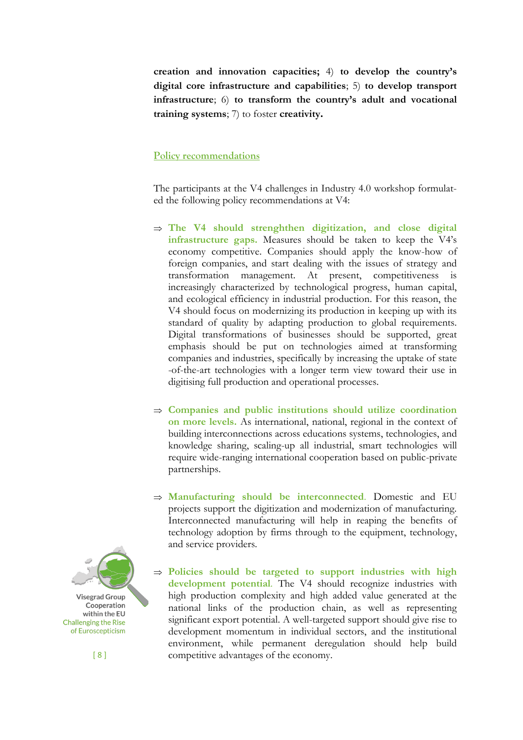**creation and innovation capacities;** 4) **to develop the country's digital core infrastructure and capabilities**; 5) **to develop transport infrastructure**; 6) **to transform the country's adult and vocational training systems**; 7) to foster **creativity.**

## **Policy recommendations**

The participants at the V4 challenges in Industry 4.0 workshop formulated the following policy recommendations at V4:

- **The V4 should strenghthen digitization, and close digital infrastructure gaps.** Measures should be taken to keep the V4's economy competitive. Companies should apply the know-how of foreign companies, and start dealing with the issues of strategy and transformation management. At present, competitiveness is increasingly characterized by technological progress, human capital, and ecological efficiency in industrial production. For this reason, the V4 should focus on modernizing its production in keeping up with its standard of quality by adapting production to global requirements. Digital transformations of businesses should be supported, great emphasis should be put on technologies aimed at transforming companies and industries, specifically by increasing the uptake of state -of-the-art technologies with a longer term view toward their use in digitising full production and operational processes.
- **Companies and public institutions should utilize coordination on more levels.** As international, national, regional in the context of building interconnections across educations systems, technologies, and knowledge sharing, scaling-up all industrial, smart technologies will require wide-ranging international cooperation based on public-private partnerships.
- **Manufacturing should be interconnected**. Domestic and EU projects support the digitization and modernization of manufacturing. Interconnected manufacturing will help in reaping the benefits of technology adoption by firms through to the equipment, technology, and service providers.
- **Policies should be targeted to support industries with high development potential**. The V4 should recognize industries with high production complexity and high added value generated at the national links of the production chain, as well as representing significant export potential. A well-targeted support should give rise to development momentum in individual sectors, and the institutional environment, while permanent deregulation should help build competitive advantages of the economy.

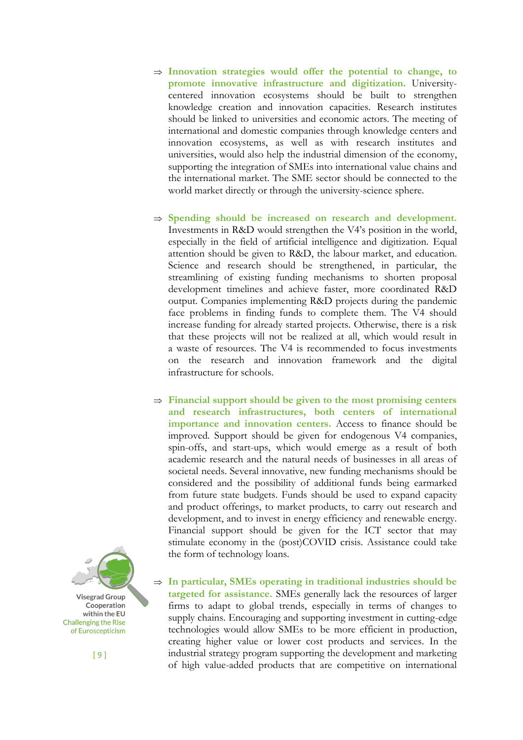- **Innovation strategies would offer the potential to change, to promote innovative infrastructure and digitization.** Universitycentered innovation ecosystems should be built to strengthen knowledge creation and innovation capacities. Research institutes should be linked to universities and economic actors. The meeting of international and domestic companies through knowledge centers and innovation ecosystems, as well as with research institutes and universities, would also help the industrial dimension of the economy, supporting the integration of SMEs into international value chains and the international market. The SME sector should be connected to the world market directly or through the university-science sphere.
- $\Rightarrow$  Spending should be increased on research and development. Investments in R&D would strengthen the V4's position in the world, especially in the field of artificial intelligence and digitization. Equal attention should be given to R&D, the labour market, and education. Science and research should be strengthened, in particular, the streamlining of existing funding mechanisms to shorten proposal development timelines and achieve faster, more coordinated R&D output. Companies implementing R&D projects during the pandemic face problems in finding funds to complete them. The V4 should increase funding for already started projects. Otherwise, there is a risk that these projects will not be realized at all, which would result in a waste of resources. The V4 is recommended to focus investments on the research and innovation framework and the digital infrastructure for schools.
- **Financial support should be given to the most promising centers and research infrastructures, both centers of international importance and innovation centers.** Access to finance should be improved. Support should be given for endogenous V4 companies, spin-offs, and start-ups, which would emerge as a result of both academic research and the natural needs of businesses in all areas of societal needs. Several innovative, new funding mechanisms should be considered and the possibility of additional funds being earmarked from future state budgets. Funds should be used to expand capacity and product offerings, to market products, to carry out research and development, and to invest in energy efficiency and renewable energy. Financial support should be given for the ICT sector that may stimulate economy in the (post)COVID crisis. Assistance could take the form of technology loans.

 $\Rightarrow$  In particular, SMEs operating in traditional industries should be **targeted for assistance.** SMEs generally lack the resources of larger firms to adapt to global trends, especially in terms of changes to supply chains. Encouraging and supporting investment in cutting-edge technologies would allow SMEs to be more efficient in production, creating higher value or lower cost products and services. In the industrial strategy program supporting the development and marketing of high value-added products that are competitive on international

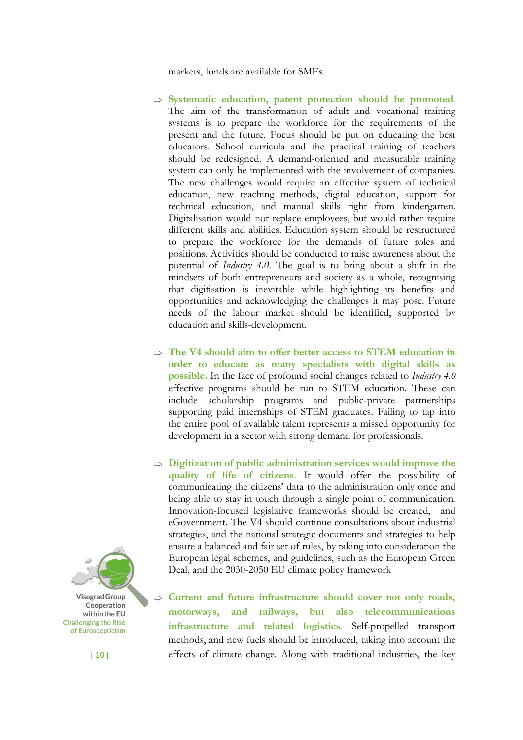markets, funds are available for SMEs.

- **Systematic education, patent protection should be promoted**. The aim of the transformation of adult and vocational training systems is to prepare the workforce for the requirements of the present and the future. Focus should be put on educating the best educators. School curricula and the practical training of teachers should be redesigned. A demand-oriented and measurable training system can only be implemented with the involvement of companies. The new challenges would require an effective system of technical education, new teaching methods, digital education, support for technical education, and manual skills right from kindergarten. Digitalisation would not replace employees, but would rather require different skills and abilities. Education system should be restructured to prepare the workforce for the demands of future roles and positions. Activities should be conducted to raise awareness about the potential of *Industry 4.0*. The goal is to bring about a shift in the mindsets of both entrepreneurs and society as a whole, recognising that digitisation is inevitable while highlighting its benefits and opportunities and acknowledging the challenges it may pose. Future needs of the labour market should be identified, supported by education and skills-development.
- **The V4 should aim to offer better access to STEM education in order to educate as many specialists with digital skills as possible.** In the face of profound social changes related to *Industry 4.0*  effective programs should be run to STEM education. These can include scholarship programs and public-private partnerships supporting paid internships of STEM graduates. Failing to tap into the entire pool of available talent represents a missed opportunity for development in a sector with strong demand for professionals.
- **Digitization of public administration services would improve the quality of life of citizens**. It would offer the possibility of communicating the citizens' data to the administration only once and being able to stay in touch through a single point of communication. Innovation-focused legislative frameworks should be created, and eGovernment. The V4 should continue consultations about industrial strategies, and the national strategic documents and strategies to help ensure a balanced and fair set of rules, by taking into consideration the European legal schemes, and guidelines, such as the European Green Deal, and the 2030-2050 EU climate policy framework

 **Current and future infrastructure should cover not only roads, motorways, and railways, but also telecommunications infrastructure and related logistics**. Self-propelled transport methods, and new fuels should be introduced, taking into account the effects of climate change. Along with traditional industries, the key



[ 10 ]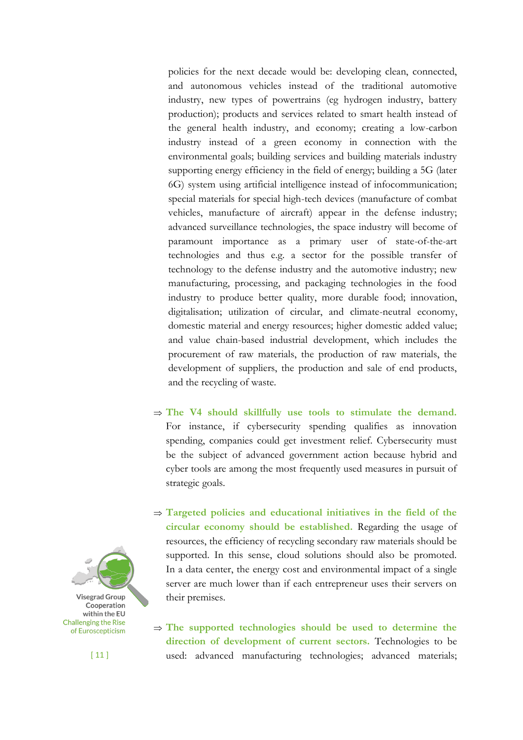policies for the next decade would be: developing clean, connected, and autonomous vehicles instead of the traditional automotive industry, new types of powertrains (eg hydrogen industry, battery production); products and services related to smart health instead of the general health industry, and economy; creating a low-carbon industry instead of a green economy in connection with the environmental goals; building services and building materials industry supporting energy efficiency in the field of energy; building a 5G (later 6G) system using artificial intelligence instead of infocommunication; special materials for special high-tech devices (manufacture of combat vehicles, manufacture of aircraft) appear in the defense industry; advanced surveillance technologies, the space industry will become of paramount importance as a primary user of state-of-the-art technologies and thus e.g. a sector for the possible transfer of technology to the defense industry and the automotive industry; new manufacturing, processing, and packaging technologies in the food industry to produce better quality, more durable food; innovation, digitalisation; utilization of circular, and climate-neutral economy, domestic material and energy resources; higher domestic added value; and value chain-based industrial development, which includes the procurement of raw materials, the production of raw materials, the development of suppliers, the production and sale of end products, and the recycling of waste.

- $\Rightarrow$  The V4 should skillfully use tools to stimulate the demand. For instance, if cybersecurity spending qualifies as innovation spending, companies could get investment relief. Cybersecurity must be the subject of advanced government action because hybrid and cyber tools are among the most frequently used measures in pursuit of strategic goals.
- **Targeted policies and educational initiatives in the field of the circular economy should be established.** Regarding the usage of resources, the efficiency of recycling secondary raw materials should be supported. In this sense, cloud solutions should also be promoted. In a data center, the energy cost and environmental impact of a single server are much lower than if each entrepreneur uses their servers on their premises.

 $\Rightarrow$  The supported technologies should be used to determine the **direction of development of current sectors.** Technologies to be used: advanced manufacturing technologies; advanced materials;



[ 11 ]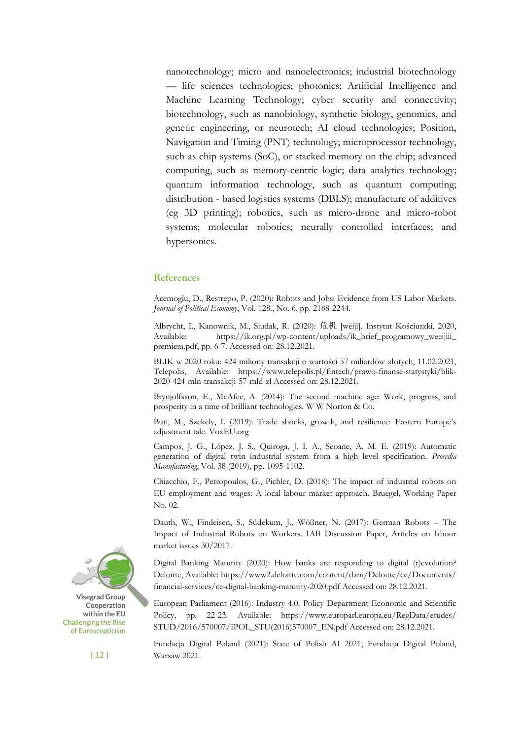nanotechnology; micro and nanoelectronics; industrial biotechnology — life sciences technologies; photonics; Artificial Intelligence and Machine Learning Technology; cyber security and connectivity; biotechnology, such as nanobiology, synthetic biology, genomics, and genetic engineering, or neurotech; AI cloud technologies; Position, Navigation and Timing (PNT) technology; microprocessor technology, such as chip systems (SoC), or stacked memory on the chip; advanced computing, such as memory-centric logic; data analytics technology; quantum information technology, such as quantum computing; distribution - based logistics systems (DBLS); manufacture of additives (eg 3D printing); robotics, such as micro-drone and micro-robot systems; molecular robotics; neurally controlled interfaces; and hypersonics.

### **References**

Acemoglu, D., Restrepo, P. (2020): Robots and Jobs: Evidence from US Labor Markets. *Journal of Political Economy*, Vol. 128., No. 6, pp. 2188-2244.

Albrycht, I., Kanownik, M., Siudak, R. (2020): 危机 [wēijī]. Instytut Kościuszki, 2020, Available: https://ik.org.pl/wp-content/uploads/ik\_brief\_programowy\_weeijiii\_ premiera.pdf, pp. 6-7. Accessed on: 28.12.2021.

BLIK w 2020 roku: 424 miliony transakcji o wartości 57 miliardów złotych, 11.02.2021, Telepolis, Available: https://www.telepolis.pl/fintech/prawo-finanse-statystyki/blik-2020-424-mln-transakcji-57-mld-zl Accessed on: 28.12.2021.

Brynjolfsson, E., McAfee, A. (2014): The second machine age: Work, progress, and prosperity in a time of brilliant technologies. W W Norton & Co.

Buti, M., Szekely, I. (2019): Trade shocks, growth, and resilience: Eastern Europe's adjustment tale. VoxEU.org

Campos, J. G., López, J. S., Quiroga, J. I. A., Seoane, A. M. E. (2019): Automatic generation of digital twin industrial system from a high level specification. *Procedia Manufacturing*, Vol. 38 (2019), pp. 1095-1102.

Chiacchio, F., Petropoulos, G., Pichler, D. (2018): The impact of industrial robots on EU employment and wages: A local labour market approach. Bruegel, Working Paper No. 02.

Dauth, W., Findeisen, S., Südekum, J., Wößner, N. (2017): German Robots – The Impact of Industrial Robots on Workers. IAB Discussion Paper, Articles on labour market issues 30/2017.

Digital Banking Maturity (2020): How banks are responding to digital (r)evolution? Deloitte, Available: https://www2.deloitte.com/content/dam/Deloitte/ce/Documents/ financial-services/ce-digital-banking-maturity-2020.pdf Accessed on: 28.12.2021.

European Parliament (2016): Industry 4.0. Policy Department Economic and Scientific Policy, pp. 22-23. Available: https://www.europarl.europa.eu/RegData/etudes/ STUD/2016/570007/IPOL\_STU(2016)570007\_EN.pdf Accessed on: 28.12.2021.

Fundacja Digital Poland (2021): State of Polish AI 2021, Fundacja Digital Poland, Warsaw 2021.



[ 12 ]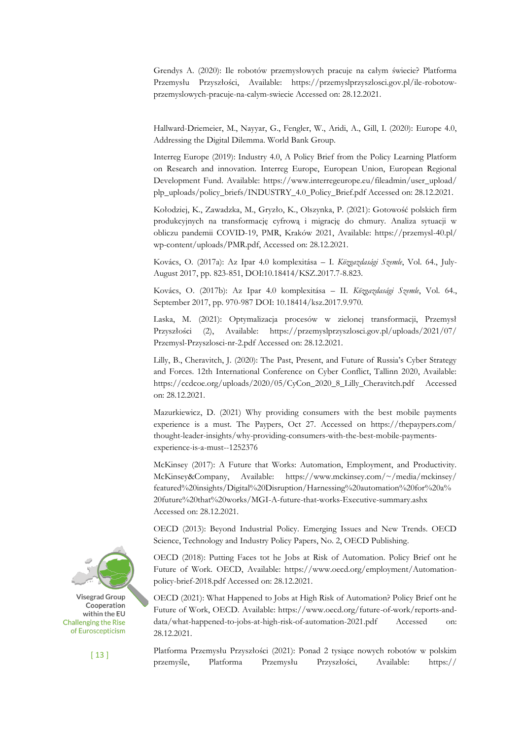Grendys A. (2020): Ile robotów przemysłowych pracuje na całym świecie? Platforma Przemysłu Przyszłości, Available: https://przemyslprzyszlosci.gov.pl/ile-robotowprzemyslowych-pracuje-na-calym-swiecie Accessed on: 28.12.2021.

Hallward-Driemeier, M., Nayyar, G., Fengler, W., Aridi, A., Gill, I. (2020): Europe 4.0, Addressing the Digital Dilemma. World Bank Group.

Interreg Europe (2019): Industry 4.0, A Policy Brief from the Policy Learning Platform on Research and innovation. Interreg Europe, European Union, European Regional Development Fund. Available: https://www.interregeurope.eu/fileadmin/user\_upload/ plp\_uploads/policy\_briefs/INDUSTRY\_4.0\_Policy\_Brief.pdf Accessed on: 28.12.2021.

Kołodziej, K., Zawadzka, M., Gryzło, K., Olszynka, P. (2021): Gotowość polskich firm produkcyjnych na transformację cyfrową i migrację do chmury. Analiza sytuacji w obliczu pandemii COVID-19, PMR, Kraków 2021, Available: https://przemysl-40.pl/ wp-content/uploads/PMR.pdf, Accessed on: 28.12.2021.

Kovács, O. (2017a): Az Ipar 4.0 komplexitása – I. *Közgazdasági Szemle*, Vol. 64., July-August 2017, pp. 823-851, DOI:10.18414/KSZ.2017.7-8.823.

Kovács, O. (2017b): Az Ipar 4.0 komplexitása – II. *Közgazdasági Szemle*, Vol. 64., September 2017, pp. 970-987 DOI: 10.18414/ksz.2017.9.970.

Laska, M. (2021): Optymalizacja procesów w zielonej transformacji, Przemysł Przyszłości (2), Available: https://przemyslprzyszlosci.gov.pl/uploads/2021/07/ Przemysl-Przyszlosci-nr-2.pdf Accessed on: 28.12.2021.

Lilly, B., Cheravitch, J. (2020): The Past, Present, and Future of Russia's Cyber Strategy and Forces. 12th International Conference on Cyber Conflict, Tallinn 2020, Available: https://ccdcoe.org/uploads/2020/05/CyCon\_2020\_8\_Lilly\_Cheravitch.pdf Accessed on: 28.12.2021.

Mazurkiewicz, D. (2021) Why providing consumers with the best mobile payments experience is a must. The Paypers, Oct 27. Accessed on https://thepaypers.com/ thought-leader-insights/why-providing-consumers-with-the-best-mobile-paymentsexperience-is-a-must--1252376

McKinsey (2017): A Future that Works: Automation, Employment, and Productivity. McKinsey&Company, Available: https://www.mckinsey.com/~/media/mckinsey/ featured%20insights/Digital%20Disruption/Harnessing%20automation%20for%20a% 20future%20that%20works/MGI-A-future-that-works-Executive-summary.ashx Accessed on: 28.12.2021.

OECD (2013): Beyond Industrial Policy. Emerging Issues and New Trends. OECD Science, Technology and Industry Policy Papers, No. 2, OECD Publishing.

OECD (2018): Putting Faces tot he Jobs at Risk of Automation. Policy Brief ont he Future of Work. OECD, Available: https://www.oecd.org/employment/Automationpolicy-brief-2018.pdf Accessed on: 28.12.2021.

OECD (2021): What Happened to Jobs at High Risk of Automation? Policy Brief ont he Future of Work, OECD. Available: https://www.oecd.org/future-of-work/reports-anddata/what-happened-to-jobs-at-high-risk-of-automation-2021.pdf Accessed on: 28.12.2021.

Platforma Przemysłu Przyszłości (2021): Ponad 2 tysiące nowych robotów w polskim przemyśle, Platforma Przemysłu Przyszłości, Available: https://



[ 13 ]